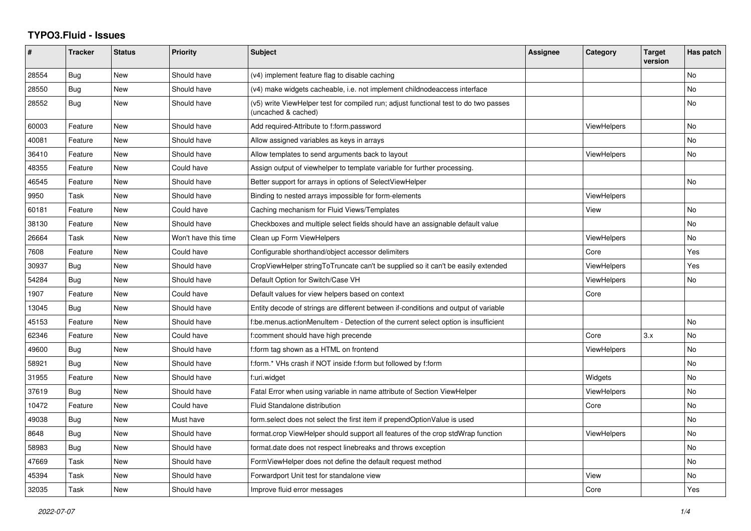## **TYPO3.Fluid - Issues**

| #     | <b>Tracker</b> | <b>Status</b> | Priority             | <b>Subject</b>                                                                                              | <b>Assignee</b> | Category           | <b>Target</b><br>version | Has patch      |
|-------|----------------|---------------|----------------------|-------------------------------------------------------------------------------------------------------------|-----------------|--------------------|--------------------------|----------------|
| 28554 | <b>Bug</b>     | New           | Should have          | (v4) implement feature flag to disable caching                                                              |                 |                    |                          | N <sub>o</sub> |
| 28550 | Bug            | New           | Should have          | (v4) make widgets cacheable, i.e. not implement childnodeaccess interface                                   |                 |                    |                          | No             |
| 28552 | Bug            | New           | Should have          | (v5) write ViewHelper test for compiled run; adjust functional test to do two passes<br>(uncached & cached) |                 |                    |                          | No             |
| 60003 | Feature        | New           | Should have          | Add required-Attribute to f:form.password                                                                   |                 | <b>ViewHelpers</b> |                          | <b>No</b>      |
| 40081 | Feature        | New           | Should have          | Allow assigned variables as keys in arrays                                                                  |                 |                    |                          | <b>No</b>      |
| 36410 | Feature        | New           | Should have          | Allow templates to send arguments back to layout                                                            |                 | ViewHelpers        |                          | No             |
| 48355 | Feature        | New           | Could have           | Assign output of viewhelper to template variable for further processing.                                    |                 |                    |                          |                |
| 46545 | Feature        | New           | Should have          | Better support for arrays in options of SelectViewHelper                                                    |                 |                    |                          | No             |
| 9950  | Task           | <b>New</b>    | Should have          | Binding to nested arrays impossible for form-elements                                                       |                 | <b>ViewHelpers</b> |                          |                |
| 60181 | Feature        | New           | Could have           | Caching mechanism for Fluid Views/Templates                                                                 |                 | View               |                          | No.            |
| 38130 | Feature        | New           | Should have          | Checkboxes and multiple select fields should have an assignable default value                               |                 |                    |                          | No             |
| 26664 | Task           | <b>New</b>    | Won't have this time | Clean up Form ViewHelpers                                                                                   |                 | <b>ViewHelpers</b> |                          | No             |
| 7608  | Feature        | New           | Could have           | Configurable shorthand/object accessor delimiters                                                           |                 | Core               |                          | Yes            |
| 30937 | Bug            | New           | Should have          | CropViewHelper stringToTruncate can't be supplied so it can't be easily extended                            |                 | <b>ViewHelpers</b> |                          | Yes            |
| 54284 | Bug            | New           | Should have          | Default Option for Switch/Case VH                                                                           |                 | <b>ViewHelpers</b> |                          | No             |
| 1907  | Feature        | New           | Could have           | Default values for view helpers based on context                                                            |                 | Core               |                          |                |
| 13045 | Bug            | New           | Should have          | Entity decode of strings are different between if-conditions and output of variable                         |                 |                    |                          |                |
| 45153 | Feature        | <b>New</b>    | Should have          | f:be.menus.actionMenuItem - Detection of the current select option is insufficient                          |                 |                    |                          | No             |
| 62346 | Feature        | New           | Could have           | f:comment should have high precende                                                                         |                 | Core               | 3.x                      | N <sub>o</sub> |
| 49600 | Bug            | New           | Should have          | f:form tag shown as a HTML on frontend                                                                      |                 | <b>ViewHelpers</b> |                          | No             |
| 58921 | Bug            | New           | Should have          | f:form.* VHs crash if NOT inside f:form but followed by f:form                                              |                 |                    |                          | <b>No</b>      |
| 31955 | Feature        | New           | Should have          | f:uri.widget                                                                                                |                 | Widgets            |                          | <b>No</b>      |
| 37619 | Bug            | New           | Should have          | Fatal Error when using variable in name attribute of Section ViewHelper                                     |                 | <b>ViewHelpers</b> |                          | <b>No</b>      |
| 10472 | Feature        | New           | Could have           | Fluid Standalone distribution                                                                               |                 | Core               |                          | No             |
| 49038 | Bug            | New           | Must have            | form.select does not select the first item if prependOptionValue is used                                    |                 |                    |                          | <b>No</b>      |
| 8648  | <b>Bug</b>     | New           | Should have          | format.crop ViewHelper should support all features of the crop stdWrap function                             |                 | <b>ViewHelpers</b> |                          | No             |
| 58983 | Bug            | <b>New</b>    | Should have          | format.date does not respect linebreaks and throws exception                                                |                 |                    |                          | <b>No</b>      |
| 47669 | Task           | New           | Should have          | FormViewHelper does not define the default request method                                                   |                 |                    |                          | <b>No</b>      |
| 45394 | Task           | New           | Should have          | Forwardport Unit test for standalone view                                                                   |                 | View               |                          | No             |
| 32035 | Task           | New           | Should have          | Improve fluid error messages                                                                                |                 | Core               |                          | Yes            |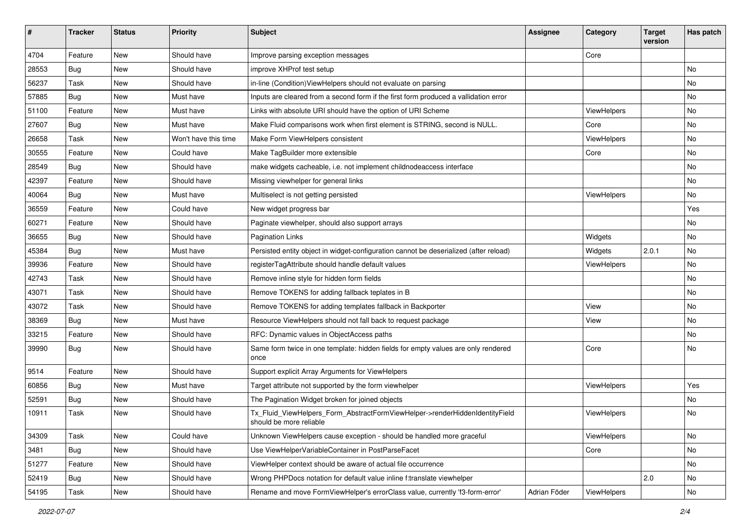| #     | <b>Tracker</b> | <b>Status</b> | <b>Priority</b>      | <b>Subject</b>                                                                                         | <b>Assignee</b> | Category    | <b>Target</b><br>version | Has patch |
|-------|----------------|---------------|----------------------|--------------------------------------------------------------------------------------------------------|-----------------|-------------|--------------------------|-----------|
| 4704  | Feature        | New           | Should have          | Improve parsing exception messages                                                                     |                 | Core        |                          |           |
| 28553 | <b>Bug</b>     | New           | Should have          | improve XHProf test setup                                                                              |                 |             |                          | No        |
| 56237 | Task           | New           | Should have          | in-line (Condition) View Helpers should not evaluate on parsing                                        |                 |             |                          | No        |
| 57885 | Bug            | New           | Must have            | Inputs are cleared from a second form if the first form produced a vallidation error                   |                 |             |                          | No        |
| 51100 | Feature        | New           | Must have            | Links with absolute URI should have the option of URI Scheme                                           |                 | ViewHelpers |                          | No        |
| 27607 | Bug            | New           | Must have            | Make Fluid comparisons work when first element is STRING, second is NULL.                              |                 | Core        |                          | No        |
| 26658 | Task           | New           | Won't have this time | Make Form ViewHelpers consistent                                                                       |                 | ViewHelpers |                          | No        |
| 30555 | Feature        | New           | Could have           | Make TagBuilder more extensible                                                                        |                 | Core        |                          | No        |
| 28549 | Bug            | New           | Should have          | make widgets cacheable, i.e. not implement childnodeaccess interface                                   |                 |             |                          | No        |
| 42397 | Feature        | New           | Should have          | Missing viewhelper for general links                                                                   |                 |             |                          | No        |
| 40064 | Bug            | New           | Must have            | Multiselect is not getting persisted                                                                   |                 | ViewHelpers |                          | No        |
| 36559 | Feature        | New           | Could have           | New widget progress bar                                                                                |                 |             |                          | Yes       |
| 60271 | Feature        | New           | Should have          | Paginate viewhelper, should also support arrays                                                        |                 |             |                          | No        |
| 36655 | Bug            | New           | Should have          | <b>Pagination Links</b>                                                                                |                 | Widgets     |                          | No        |
| 45384 | Bug            | New           | Must have            | Persisted entity object in widget-configuration cannot be deserialized (after reload)                  |                 | Widgets     | 2.0.1                    | No        |
| 39936 | Feature        | New           | Should have          | registerTagAttribute should handle default values                                                      |                 | ViewHelpers |                          | No.       |
| 42743 | Task           | New           | Should have          | Remove inline style for hidden form fields                                                             |                 |             |                          | No        |
| 43071 | Task           | New           | Should have          | Remove TOKENS for adding fallback teplates in B                                                        |                 |             |                          | No        |
| 43072 | Task           | New           | Should have          | Remove TOKENS for adding templates fallback in Backporter                                              |                 | View        |                          | No        |
| 38369 | Bug            | New           | Must have            | Resource ViewHelpers should not fall back to request package                                           |                 | View        |                          | No        |
| 33215 | Feature        | New           | Should have          | RFC: Dynamic values in ObjectAccess paths                                                              |                 |             |                          | No        |
| 39990 | Bug            | New           | Should have          | Same form twice in one template: hidden fields for empty values are only rendered<br>once              |                 | Core        |                          | No        |
| 9514  | Feature        | <b>New</b>    | Should have          | Support explicit Array Arguments for ViewHelpers                                                       |                 |             |                          |           |
| 60856 | Bug            | New           | Must have            | Target attribute not supported by the form viewhelper                                                  |                 | ViewHelpers |                          | Yes       |
| 52591 | Bug            | New           | Should have          | The Pagination Widget broken for joined objects                                                        |                 |             |                          | No        |
| 10911 | Task           | New           | Should have          | Tx Fluid ViewHelpers Form AbstractFormViewHelper->renderHiddenIdentityField<br>should be more reliable |                 | ViewHelpers |                          | No        |
| 34309 | Task           | New           | Could have           | Unknown ViewHelpers cause exception - should be handled more graceful                                  |                 | ViewHelpers |                          | No        |
| 3481  | Bug            | New           | Should have          | Use ViewHelperVariableContainer in PostParseFacet                                                      |                 | Core        |                          | No        |
| 51277 | Feature        | New           | Should have          | ViewHelper context should be aware of actual file occurrence                                           |                 |             |                          | No        |
| 52419 | Bug            | New           | Should have          | Wrong PHPDocs notation for default value inline f:translate viewhelper                                 |                 |             | 2.0                      | No        |
| 54195 | Task           | New           | Should have          | Rename and move FormViewHelper's errorClass value, currently 'f3-form-error'                           | Adrian Föder    | ViewHelpers |                          | No        |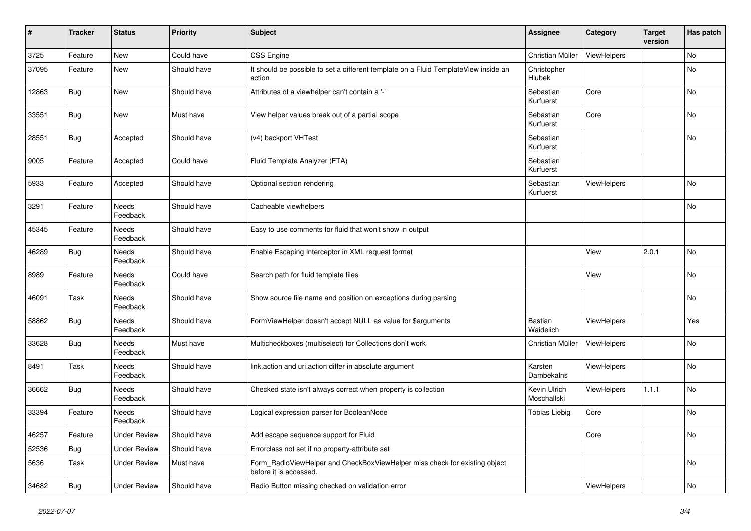| #     | <b>Tracker</b> | <b>Status</b>            | <b>Priority</b> | Subject                                                                                              | <b>Assignee</b>             | Category           | <b>Target</b><br>version | Has patch |
|-------|----------------|--------------------------|-----------------|------------------------------------------------------------------------------------------------------|-----------------------------|--------------------|--------------------------|-----------|
| 3725  | Feature        | New                      | Could have      | CSS Engine                                                                                           | Christian Müller            | ViewHelpers        |                          | No        |
| 37095 | Feature        | <b>New</b>               | Should have     | It should be possible to set a different template on a Fluid TemplateView inside an<br>action        | Christopher<br>Hlubek       |                    |                          | No        |
| 12863 | <b>Bug</b>     | <b>New</b>               | Should have     | Attributes of a viewhelper can't contain a '-'                                                       | Sebastian<br>Kurfuerst      | Core               |                          | No        |
| 33551 | <b>Bug</b>     | New                      | Must have       | View helper values break out of a partial scope                                                      | Sebastian<br>Kurfuerst      | Core               |                          | No        |
| 28551 | <b>Bug</b>     | Accepted                 | Should have     | (v4) backport VHTest                                                                                 | Sebastian<br>Kurfuerst      |                    |                          | No        |
| 9005  | Feature        | Accepted                 | Could have      | Fluid Template Analyzer (FTA)                                                                        | Sebastian<br>Kurfuerst      |                    |                          |           |
| 5933  | Feature        | Accepted                 | Should have     | Optional section rendering                                                                           | Sebastian<br>Kurfuerst      | ViewHelpers        |                          | No        |
| 3291  | Feature        | Needs<br>Feedback        | Should have     | Cacheable viewhelpers                                                                                |                             |                    |                          | No        |
| 45345 | Feature        | Needs<br>Feedback        | Should have     | Easy to use comments for fluid that won't show in output                                             |                             |                    |                          |           |
| 46289 | <b>Bug</b>     | Needs<br>Feedback        | Should have     | Enable Escaping Interceptor in XML request format                                                    |                             | View               | 2.0.1                    | No        |
| 8989  | Feature        | Needs<br>Feedback        | Could have      | Search path for fluid template files                                                                 |                             | View               |                          | No        |
| 46091 | Task           | Needs<br>Feedback        | Should have     | Show source file name and position on exceptions during parsing                                      |                             |                    |                          | No        |
| 58862 | <b>Bug</b>     | Needs<br>Feedback        | Should have     | FormViewHelper doesn't accept NULL as value for \$arguments                                          | Bastian<br>Waidelich        | ViewHelpers        |                          | Yes       |
| 33628 | <b>Bug</b>     | <b>Needs</b><br>Feedback | Must have       | Multicheckboxes (multiselect) for Collections don't work                                             | Christian Müller            | ViewHelpers        |                          | No        |
| 8491  | Task           | Needs<br>Feedback        | Should have     | link.action and uri.action differ in absolute argument                                               | Karsten<br>Dambekalns       | ViewHelpers        |                          | No        |
| 36662 | <b>Bug</b>     | Needs<br>Feedback        | Should have     | Checked state isn't always correct when property is collection                                       | Kevin Ulrich<br>Moschallski | <b>ViewHelpers</b> | 1.1.1                    | No        |
| 33394 | Feature        | Needs<br>Feedback        | Should have     | Logical expression parser for BooleanNode                                                            | <b>Tobias Liebig</b>        | Core               |                          | No        |
| 46257 | Feature        | <b>Under Review</b>      | Should have     | Add escape sequence support for Fluid                                                                |                             | Core               |                          | No        |
| 52536 | Bug            | <b>Under Review</b>      | Should have     | Errorclass not set if no property-attribute set                                                      |                             |                    |                          |           |
| 5636  | Task           | <b>Under Review</b>      | Must have       | Form RadioViewHelper and CheckBoxViewHelper miss check for existing object<br>before it is accessed. |                             |                    |                          | No        |
| 34682 | <b>Bug</b>     | <b>Under Review</b>      | Should have     | Radio Button missing checked on validation error                                                     |                             | ViewHelpers        |                          | No        |